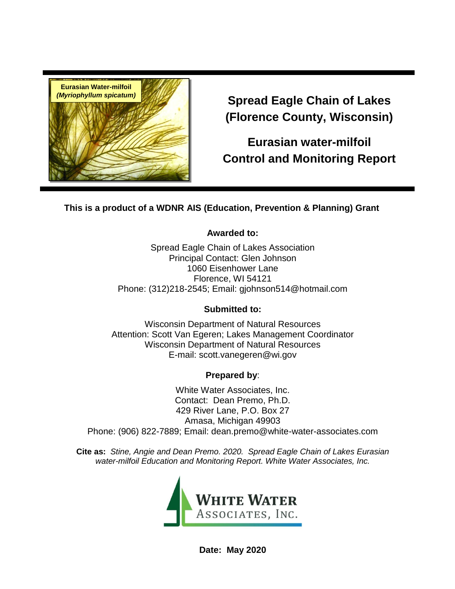

**Spread Eagle Chain of Lakes (Florence County, Wisconsin)**

**Eurasian water-milfoil Control and Monitoring Report**

**This is a product of a WDNR AIS (Education, Prevention & Planning) Grant** 

#### **Awarded to:**

Spread Eagle Chain of Lakes Association Principal Contact: Glen Johnson 1060 Eisenhower Lane Florence, WI 54121 Phone: (312)218-2545; Email: gjohnson514@hotmail.com

#### **Submitted to:**

Wisconsin Department of Natural Resources Attention: Scott Van Egeren; Lakes Management Coordinator Wisconsin Department of Natural Resources E-mail: scott.vanegeren@wi.gov

# **Prepared by**:

White Water Associates, Inc. Contact: Dean Premo, Ph.D. 429 River Lane, P.O. Box 27 Amasa, Michigan 49903 Phone: (906) 822-7889; Email: dean.premo@white-water-associates.com

**Cite as:** *Stine, Angie and Dean Premo. 2020. Spread Eagle Chain of Lakes Eurasian water-milfoil Education and Monitoring Report. White Water Associates, Inc.*



**Date: May 2020**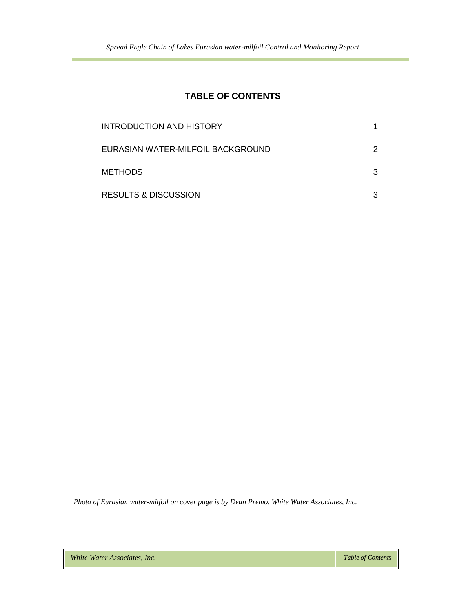# **TABLE OF CONTENTS**

| INTRODUCTION AND HISTORY          |   |
|-----------------------------------|---|
| EURASIAN WATER-MILFOIL BACKGROUND | 2 |
| <b>METHODS</b>                    | 3 |
| <b>RESULTS &amp; DISCUSSION</b>   |   |

 *Photo of Eurasian water-milfoil on cover page is by Dean Premo, White Water Associates, Inc.*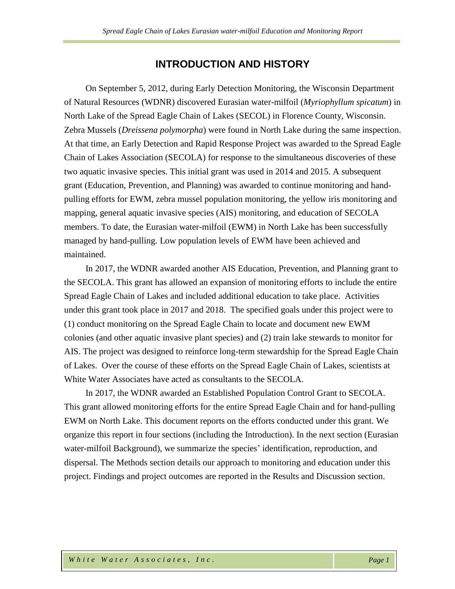## **INTRODUCTION AND HISTORY**

On September 5, 2012, during Early Detection Monitoring, the Wisconsin Department of Natural Resources (WDNR) discovered Eurasian water-milfoil (*Myriophyllum spicatum*) in North Lake of the Spread Eagle Chain of Lakes (SECOL) in Florence County, Wisconsin. Zebra Mussels (*Dreissena polymorpha*) were found in North Lake during the same inspection. At that time, an Early Detection and Rapid Response Project was awarded to the Spread Eagle Chain of Lakes Association (SECOLA) for response to the simultaneous discoveries of these two aquatic invasive species. This initial grant was used in 2014 and 2015. A subsequent grant (Education, Prevention, and Planning) was awarded to continue monitoring and handpulling efforts for EWM, zebra mussel population monitoring, the yellow iris monitoring and mapping, general aquatic invasive species (AIS) monitoring, and education of SECOLA members. To date, the Eurasian water-milfoil (EWM) in North Lake has been successfully managed by hand-pulling. Low population levels of EWM have been achieved and maintained.

In 2017, the WDNR awarded another AIS Education, Prevention, and Planning grant to the SECOLA. This grant has allowed an expansion of monitoring efforts to include the entire Spread Eagle Chain of Lakes and included additional education to take place. Activities under this grant took place in 2017 and 2018. The specified goals under this project were to (1) conduct monitoring on the Spread Eagle Chain to locate and document new EWM colonies (and other aquatic invasive plant species) and (2) train lake stewards to monitor for AIS. The project was designed to reinforce long-term stewardship for the Spread Eagle Chain of Lakes. Over the course of these efforts on the Spread Eagle Chain of Lakes, scientists at White Water Associates have acted as consultants to the SECOLA.

In 2017, the WDNR awarded an Established Population Control Grant to SECOLA. This grant allowed monitoring efforts for the entire Spread Eagle Chain and for hand-pulling EWM on North Lake. This document reports on the efforts conducted under this grant. We organize this report in four sections (including the Introduction). In the next section (Eurasian water-milfoil Background), we summarize the species' identification, reproduction, and dispersal. The Methods section details our approach to monitoring and education under this project. Findings and project outcomes are reported in the Results and Discussion section.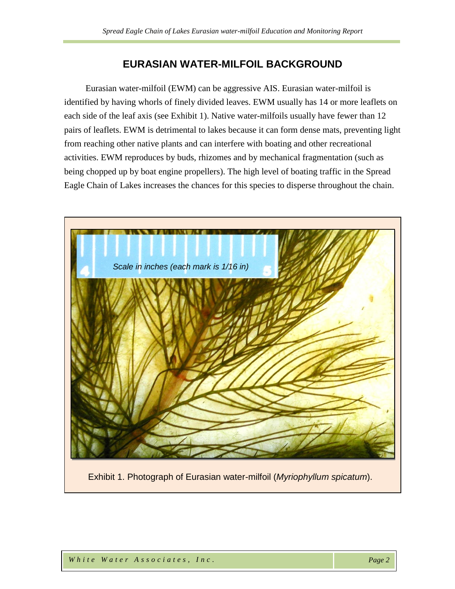# **EURASIAN WATER-MILFOIL BACKGROUND**

Eurasian water-milfoil (EWM) can be aggressive AIS. Eurasian water-milfoil is identified by having whorls of finely divided leaves. EWM usually has 14 or more leaflets on each side of the leaf axis (see Exhibit 1). Native water-milfoils usually have fewer than 12 pairs of leaflets. EWM is detrimental to lakes because it can form dense mats, preventing light from reaching other native plants and can interfere with boating and other recreational activities. EWM reproduces by buds, rhizomes and by mechanical fragmentation (such as being chopped up by boat engine propellers). The high level of boating traffic in the Spread Eagle Chain of Lakes increases the chances for this species to disperse throughout the chain.



Exhibit 1. Photograph of Eurasian water-milfoil (*Myriophyllum spicatum*).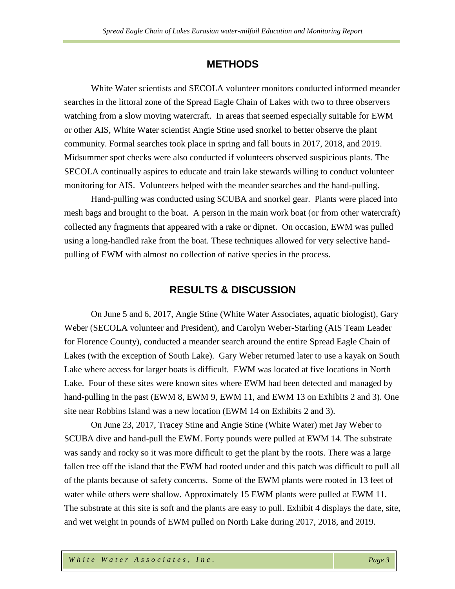## **METHODS**

White Water scientists and SECOLA volunteer monitors conducted informed meander searches in the littoral zone of the Spread Eagle Chain of Lakes with two to three observers watching from a slow moving watercraft. In areas that seemed especially suitable for EWM or other AIS, White Water scientist Angie Stine used snorkel to better observe the plant community. Formal searches took place in spring and fall bouts in 2017, 2018, and 2019. Midsummer spot checks were also conducted if volunteers observed suspicious plants. The SECOLA continually aspires to educate and train lake stewards willing to conduct volunteer monitoring for AIS. Volunteers helped with the meander searches and the hand-pulling.

Hand-pulling was conducted using SCUBA and snorkel gear. Plants were placed into mesh bags and brought to the boat. A person in the main work boat (or from other watercraft) collected any fragments that appeared with a rake or dipnet. On occasion, EWM was pulled using a long-handled rake from the boat. These techniques allowed for very selective handpulling of EWM with almost no collection of native species in the process.

#### **RESULTS & DISCUSSION**

On June 5 and 6, 2017, Angie Stine (White Water Associates, aquatic biologist), Gary Weber (SECOLA volunteer and President), and Carolyn Weber-Starling (AIS Team Leader for Florence County), conducted a meander search around the entire Spread Eagle Chain of Lakes (with the exception of South Lake). Gary Weber returned later to use a kayak on South Lake where access for larger boats is difficult. EWM was located at five locations in North Lake. Four of these sites were known sites where EWM had been detected and managed by hand-pulling in the past (EWM 8, EWM 9, EWM 11, and EWM 13 on Exhibits 2 and 3). One site near Robbins Island was a new location (EWM 14 on Exhibits 2 and 3).

On June 23, 2017, Tracey Stine and Angie Stine (White Water) met Jay Weber to SCUBA dive and hand-pull the EWM. Forty pounds were pulled at EWM 14. The substrate was sandy and rocky so it was more difficult to get the plant by the roots. There was a large fallen tree off the island that the EWM had rooted under and this patch was difficult to pull all of the plants because of safety concerns. Some of the EWM plants were rooted in 13 feet of water while others were shallow. Approximately 15 EWM plants were pulled at EWM 11. The substrate at this site is soft and the plants are easy to pull. Exhibit 4 displays the date, site, and wet weight in pounds of EWM pulled on North Lake during 2017, 2018, and 2019.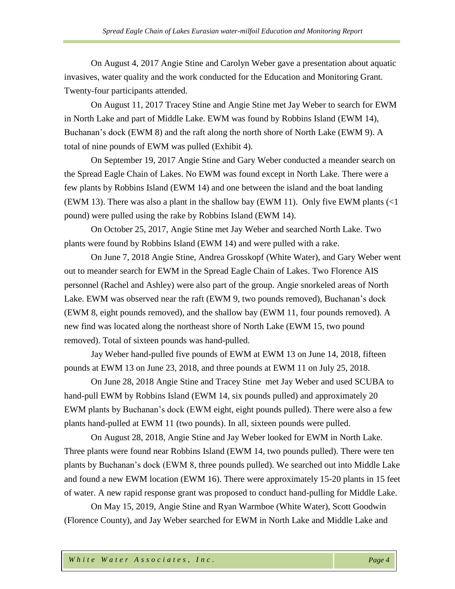On August 4, 2017 Angie Stine and Carolyn Weber gave a presentation about aquatic invasives, water quality and the work conducted for the Education and Monitoring Grant. Twenty-four participants attended.

On August 11, 2017 Tracey Stine and Angie Stine met Jay Weber to search for EWM in North Lake and part of Middle Lake. EWM was found by Robbins Island (EWM 14), Buchanan's dock (EWM 8) and the raft along the north shore of North Lake (EWM 9). A total of nine pounds of EWM was pulled (Exhibit 4).

On September 19, 2017 Angie Stine and Gary Weber conducted a meander search on the Spread Eagle Chain of Lakes. No EWM was found except in North Lake. There were a few plants by Robbins Island (EWM 14) and one between the island and the boat landing (EWM 13). There was also a plant in the shallow bay (EWM 11). Only five EWM plants  $\ll 1$ pound) were pulled using the rake by Robbins Island (EWM 14).

On October 25, 2017, Angie Stine met Jay Weber and searched North Lake. Two plants were found by Robbins Island (EWM 14) and were pulled with a rake.

On June 7, 2018 Angie Stine, Andrea Grosskopf (White Water), and Gary Weber went out to meander search for EWM in the Spread Eagle Chain of Lakes. Two Florence AIS personnel (Rachel and Ashley) were also part of the group. Angie snorkeled areas of North Lake. EWM was observed near the raft (EWM 9, two pounds removed), Buchanan's dock (EWM 8, eight pounds removed), and the shallow bay (EWM 11, four pounds removed). A new find was located along the northeast shore of North Lake (EWM 15, two pound removed). Total of sixteen pounds was hand-pulled.

Jay Weber hand-pulled five pounds of EWM at EWM 13 on June 14, 2018, fifteen pounds at EWM 13 on June 23, 2018, and three pounds at EWM 11 on July 25, 2018.

On June 28, 2018 Angie Stine and Tracey Stine met Jay Weber and used SCUBA to hand-pull EWM by Robbins Island (EWM 14, six pounds pulled) and approximately 20 EWM plants by Buchanan's dock (EWM eight, eight pounds pulled). There were also a few plants hand-pulled at EWM 11 (two pounds). In all, sixteen pounds were pulled.

On August 28, 2018, Angie Stine and Jay Weber looked for EWM in North Lake. Three plants were found near Robbins Island (EWM 14, two pounds pulled). There were ten plants by Buchanan's dock (EWM 8, three pounds pulled). We searched out into Middle Lake and found a new EWM location (EWM 16). There were approximately 15-20 plants in 15 feet of water. A new rapid response grant was proposed to conduct hand-pulling for Middle Lake.

On May 15, 2019, Angie Stine and Ryan Warmboe (White Water), Scott Goodwin (Florence County), and Jay Weber searched for EWM in North Lake and Middle Lake and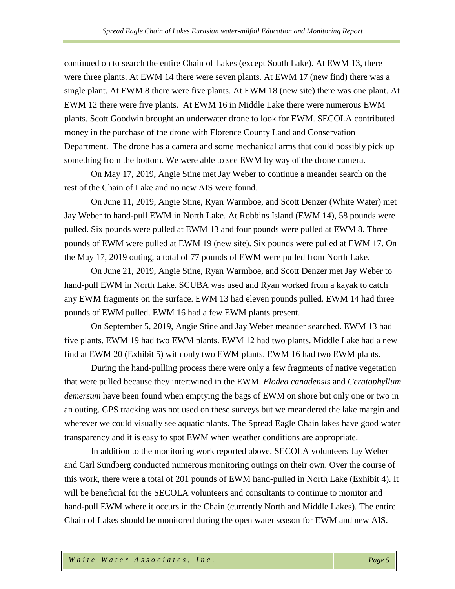continued on to search the entire Chain of Lakes (except South Lake). At EWM 13, there were three plants. At EWM 14 there were seven plants. At EWM 17 (new find) there was a single plant. At EWM 8 there were five plants. At EWM 18 (new site) there was one plant. At EWM 12 there were five plants. At EWM 16 in Middle Lake there were numerous EWM plants. Scott Goodwin brought an underwater drone to look for EWM. SECOLA contributed money in the purchase of the drone with Florence County Land and Conservation Department. The drone has a camera and some mechanical arms that could possibly pick up something from the bottom. We were able to see EWM by way of the drone camera.

On May 17, 2019, Angie Stine met Jay Weber to continue a meander search on the rest of the Chain of Lake and no new AIS were found.

On June 11, 2019, Angie Stine, Ryan Warmboe, and Scott Denzer (White Water) met Jay Weber to hand-pull EWM in North Lake. At Robbins Island (EWM 14), 58 pounds were pulled. Six pounds were pulled at EWM 13 and four pounds were pulled at EWM 8. Three pounds of EWM were pulled at EWM 19 (new site). Six pounds were pulled at EWM 17. On the May 17, 2019 outing, a total of 77 pounds of EWM were pulled from North Lake.

On June 21, 2019, Angie Stine, Ryan Warmboe, and Scott Denzer met Jay Weber to hand-pull EWM in North Lake. SCUBA was used and Ryan worked from a kayak to catch any EWM fragments on the surface. EWM 13 had eleven pounds pulled. EWM 14 had three pounds of EWM pulled. EWM 16 had a few EWM plants present.

On September 5, 2019, Angie Stine and Jay Weber meander searched. EWM 13 had five plants. EWM 19 had two EWM plants. EWM 12 had two plants. Middle Lake had a new find at EWM 20 (Exhibit 5) with only two EWM plants. EWM 16 had two EWM plants.

During the hand-pulling process there were only a few fragments of native vegetation that were pulled because they intertwined in the EWM. *Elodea canadensis* and *Ceratophyllum demersum* have been found when emptying the bags of EWM on shore but only one or two in an outing. GPS tracking was not used on these surveys but we meandered the lake margin and wherever we could visually see aquatic plants. The Spread Eagle Chain lakes have good water transparency and it is easy to spot EWM when weather conditions are appropriate.

In addition to the monitoring work reported above, SECOLA volunteers Jay Weber and Carl Sundberg conducted numerous monitoring outings on their own. Over the course of this work, there were a total of 201 pounds of EWM hand-pulled in North Lake (Exhibit 4). It will be beneficial for the SECOLA volunteers and consultants to continue to monitor and hand-pull EWM where it occurs in the Chain (currently North and Middle Lakes). The entire Chain of Lakes should be monitored during the open water season for EWM and new AIS.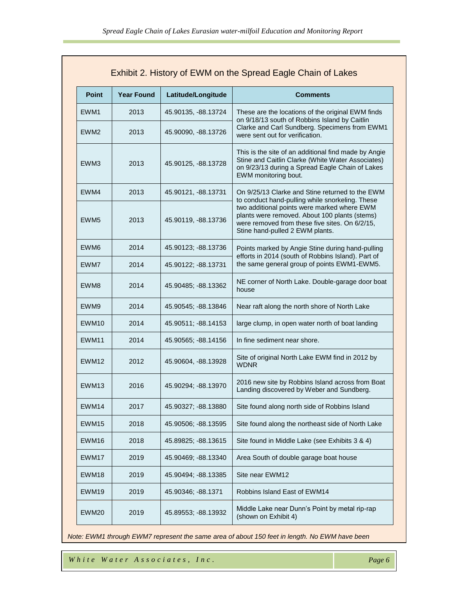| Exhibit 2. History of EWM on the Spread Eagle Chain of Lakes |                   |                     |                                                                                                                                                                                      |  |  |  |  |  |  |
|--------------------------------------------------------------|-------------------|---------------------|--------------------------------------------------------------------------------------------------------------------------------------------------------------------------------------|--|--|--|--|--|--|
| <b>Point</b>                                                 | <b>Year Found</b> | Latitude/Longitude  | <b>Comments</b>                                                                                                                                                                      |  |  |  |  |  |  |
| EWM <sub>1</sub>                                             | 2013              | 45.90135, -88.13724 | These are the locations of the original EWM finds                                                                                                                                    |  |  |  |  |  |  |
| EWM <sub>2</sub>                                             | 2013              | 45.90090, -88.13726 | on 9/18/13 south of Robbins Island by Caitlin<br>Clarke and Carl Sundberg. Specimens from EWM1<br>were sent out for verification.                                                    |  |  |  |  |  |  |
| EWM3                                                         | 2013              | 45.90125, -88.13728 | This is the site of an additional find made by Angie<br>Stine and Caitlin Clarke (White Water Associates)<br>on 9/23/13 during a Spread Eagle Chain of Lakes<br>EWM monitoring bout. |  |  |  |  |  |  |
| EWM4                                                         | 2013              | 45.90121, -88.13731 | On 9/25/13 Clarke and Stine returned to the EWM<br>to conduct hand-pulling while snorkeling. These                                                                                   |  |  |  |  |  |  |
| EWM <sub>5</sub>                                             | 2013              | 45.90119, -88.13736 | two additional points were marked where EWM<br>plants were removed. About 100 plants (stems)<br>were removed from these five sites. On 6/2/15,<br>Stine hand-pulled 2 EWM plants.    |  |  |  |  |  |  |
| EWM <sub>6</sub>                                             | 2014              | 45.90123; -88.13736 | Points marked by Angie Stine during hand-pulling<br>efforts in 2014 (south of Robbins Island). Part of                                                                               |  |  |  |  |  |  |
| EWM7                                                         | 2014              | 45.90122; -88.13731 | the same general group of points EWM1-EWM5.                                                                                                                                          |  |  |  |  |  |  |
| EWM8                                                         | 2014              | 45.90485; -88.13362 | NE corner of North Lake. Double-garage door boat<br>house                                                                                                                            |  |  |  |  |  |  |
| EWM9                                                         | 2014              | 45.90545; -88.13846 | Near raft along the north shore of North Lake                                                                                                                                        |  |  |  |  |  |  |
| EWM10                                                        | 2014              | 45.90511; -88.14153 | large clump, in open water north of boat landing                                                                                                                                     |  |  |  |  |  |  |
| EWM <sub>11</sub>                                            | 2014              | 45.90565; -88.14156 | In fine sediment near shore.                                                                                                                                                         |  |  |  |  |  |  |
| EWM <sub>12</sub>                                            | 2012              | 45.90604, -88.13928 | Site of original North Lake EWM find in 2012 by<br><b>WDNR</b>                                                                                                                       |  |  |  |  |  |  |
| EWM <sub>13</sub>                                            | 2016              | 45.90294; -88.13970 | 2016 new site by Robbins Island across from Boat<br>Landing discovered by Weber and Sundberg.                                                                                        |  |  |  |  |  |  |
| EWM14                                                        | 2017              | 45.90327; -88.13880 | Site found along north side of Robbins Island                                                                                                                                        |  |  |  |  |  |  |
| EWM15                                                        | 2018              | 45.90506; -88.13595 | Site found along the northeast side of North Lake                                                                                                                                    |  |  |  |  |  |  |
| EWM16                                                        | 2018              | 45.89825; -88.13615 | Site found in Middle Lake (see Exhibits 3 & 4)                                                                                                                                       |  |  |  |  |  |  |
| EWM17                                                        | 2019              | 45.90469; -88.13340 | Area South of double garage boat house                                                                                                                                               |  |  |  |  |  |  |
| EWM18                                                        | 2019              | 45.90494; -88.13385 | Site near EWM12                                                                                                                                                                      |  |  |  |  |  |  |
| EWM <sub>19</sub>                                            | 2019              | 45.90346; -88.1371  | Robbins Island East of EWM14                                                                                                                                                         |  |  |  |  |  |  |
| EWM20                                                        | 2019              | 45.89553; -88.13932 | Middle Lake near Dunn's Point by metal rip-rap<br>(shown on Exhibit 4)                                                                                                               |  |  |  |  |  |  |

*Note: EWM1 through EWM7 represent the same area of about 150 feet in length. No EWM have been*

*documented in this area since 2015.*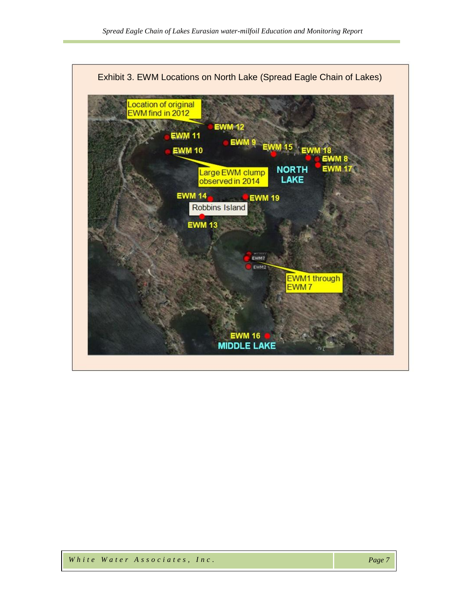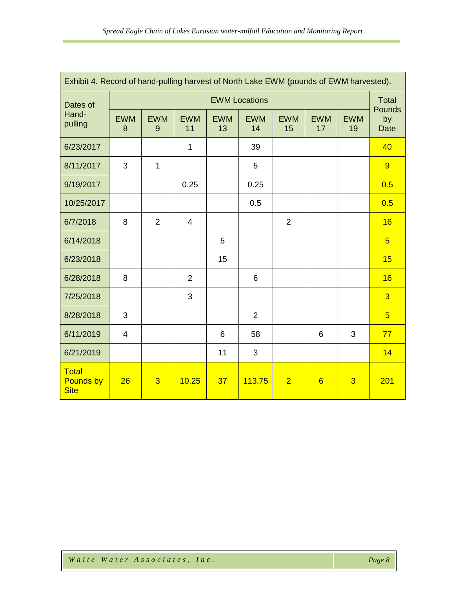| Exhibit 4. Record of hand-pulling harvest of North Lake EWM (pounds of EWM harvested). |                      |                 |                  |                  |                  |                  |                  |                  |                             |  |
|----------------------------------------------------------------------------------------|----------------------|-----------------|------------------|------------------|------------------|------------------|------------------|------------------|-----------------------------|--|
| Dates of<br>Hand-<br>pulling                                                           | <b>EWM Locations</b> |                 |                  |                  |                  |                  |                  |                  | <b>Total</b>                |  |
|                                                                                        | <b>EWM</b><br>8      | <b>EWM</b><br>9 | <b>EWM</b><br>11 | <b>EWM</b><br>13 | <b>EWM</b><br>14 | <b>EWM</b><br>15 | <b>EWM</b><br>17 | <b>EWM</b><br>19 | Pounds<br>by<br><b>Date</b> |  |
| 6/23/2017                                                                              |                      |                 | $\mathbf{1}$     |                  | 39               |                  |                  |                  | 40                          |  |
| 8/11/2017                                                                              | 3                    | 1               |                  |                  | 5                |                  |                  |                  | 9                           |  |
| 9/19/2017                                                                              |                      |                 | 0.25             |                  | 0.25             |                  |                  |                  | 0.5                         |  |
| 10/25/2017                                                                             |                      |                 |                  |                  | 0.5              |                  |                  |                  | 0.5                         |  |
| 6/7/2018                                                                               | 8                    | $\overline{2}$  | $\overline{4}$   |                  |                  | $\overline{2}$   |                  |                  | 16                          |  |
| 6/14/2018                                                                              |                      |                 |                  | 5                |                  |                  |                  |                  | $5\overline{)}$             |  |
| 6/23/2018                                                                              |                      |                 |                  | 15               |                  |                  |                  |                  | 15                          |  |
| 6/28/2018                                                                              | 8                    |                 | $\overline{2}$   |                  | 6                |                  |                  |                  | 16                          |  |
| 7/25/2018                                                                              |                      |                 | 3                |                  |                  |                  |                  |                  | $\overline{3}$              |  |
| 8/28/2018                                                                              | 3                    |                 |                  |                  | $\overline{2}$   |                  |                  |                  | $5\overline{)}$             |  |
| 6/11/2019                                                                              | 4                    |                 |                  | 6                | 58               |                  | 6                | 3                | 77                          |  |
| 6/21/2019                                                                              |                      |                 |                  | 11               | 3                |                  |                  |                  | 14                          |  |
| <b>Total</b><br><b>Pounds by</b><br><b>Site</b>                                        | 26                   | $\overline{3}$  | 10.25            | 37               | 113.75           | $\overline{2}$   | $6\overline{6}$  | $\overline{3}$   | 201                         |  |